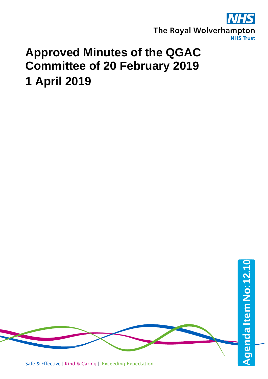

## **Approved Minutes of the QGAC Committee of 20 February 2019 1 April 2019**

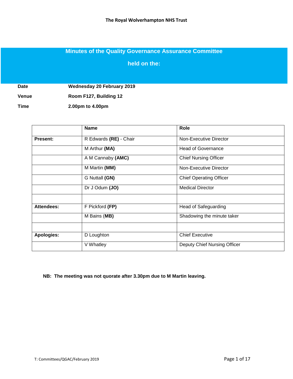## **Minutes of the Quality Governance Assurance Committee**

**held on the:**

**Date Wednesday 20 February 2019**

**Venue Room F127, Building 12**

**Time 2.00pm to 4.00pm**

|                   | <b>Name</b>            | Role                           |  |  |
|-------------------|------------------------|--------------------------------|--|--|
| <b>Present:</b>   | R Edwards (RE) - Chair | Non-Executive Director         |  |  |
|                   | M Arthur (MA)          | <b>Head of Governance</b>      |  |  |
|                   | A M Cannaby (AMC)      | <b>Chief Nursing Officer</b>   |  |  |
|                   | M Martin (MM)          | Non-Executive Director         |  |  |
|                   | G Nuttall (GN)         | <b>Chief Operating Officer</b> |  |  |
|                   | Dr J Odum (JO)         | <b>Medical Director</b>        |  |  |
|                   |                        |                                |  |  |
| Attendees:        | F Pickford (FP)        | <b>Head of Safeguarding</b>    |  |  |
|                   | M Bains (MB)           | Shadowing the minute taker     |  |  |
|                   |                        |                                |  |  |
| <b>Apologies:</b> | D Loughton             | <b>Chief Executive</b>         |  |  |
|                   | V Whatley              | Deputy Chief Nursing Officer   |  |  |

**NB: The meeting was not quorate after 3.30pm due to M Martin leaving.**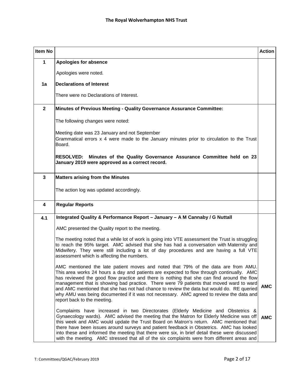| Item No      |                                                                                                                                                                                                                                                                                                                                                                                                                                                                                                                                                                                                | <b>Action</b> |
|--------------|------------------------------------------------------------------------------------------------------------------------------------------------------------------------------------------------------------------------------------------------------------------------------------------------------------------------------------------------------------------------------------------------------------------------------------------------------------------------------------------------------------------------------------------------------------------------------------------------|---------------|
| 1            | <b>Apologies for absence</b>                                                                                                                                                                                                                                                                                                                                                                                                                                                                                                                                                                   |               |
|              | Apologies were noted.                                                                                                                                                                                                                                                                                                                                                                                                                                                                                                                                                                          |               |
| 1a           | <b>Declarations of Interest</b>                                                                                                                                                                                                                                                                                                                                                                                                                                                                                                                                                                |               |
|              | There were no Declarations of Interest.                                                                                                                                                                                                                                                                                                                                                                                                                                                                                                                                                        |               |
| $\mathbf{2}$ | <b>Minutes of Previous Meeting - Quality Governance Assurance Committee:</b>                                                                                                                                                                                                                                                                                                                                                                                                                                                                                                                   |               |
|              | The following changes were noted:                                                                                                                                                                                                                                                                                                                                                                                                                                                                                                                                                              |               |
|              | Meeting date was 23 January and not September<br>Grammatical errors x 4 were made to the January minutes prior to circulation to the Trust<br>Board.                                                                                                                                                                                                                                                                                                                                                                                                                                           |               |
|              | RESOLVED: Minutes of the Quality Governance Assurance Committee held on 23<br>January 2019 were approved as a correct record.                                                                                                                                                                                                                                                                                                                                                                                                                                                                  |               |
| $\mathbf{3}$ | <b>Matters arising from the Minutes</b>                                                                                                                                                                                                                                                                                                                                                                                                                                                                                                                                                        |               |
|              | The action log was updated accordingly.                                                                                                                                                                                                                                                                                                                                                                                                                                                                                                                                                        |               |
| 4            | <b>Regular Reports</b>                                                                                                                                                                                                                                                                                                                                                                                                                                                                                                                                                                         |               |
| 4.1          | Integrated Quality & Performance Report - January - A M Cannaby / G Nuttall                                                                                                                                                                                                                                                                                                                                                                                                                                                                                                                    |               |
|              | AMC presented the Quality report to the meeting.                                                                                                                                                                                                                                                                                                                                                                                                                                                                                                                                               |               |
|              | The meeting noted that a while lot of work is going into VTE assessment the Trust is struggling<br>to reach the 95% target. AMC advised that she has had a conversation with Maternity and<br>Midwifery. They were still including a lot of day procedures and are having a full VTE<br>assessment which is affecting the numbers.                                                                                                                                                                                                                                                             |               |
|              | AMC mentioned the late patient moves and noted that 79% of the data are from AMU.<br>This area works 24 hours a day and patients are expected to flow through continually. AMC<br>has reviewed the good flow practice and there is nothing that she can find around the flow<br>management that is showing bad practice. There were 79 patients that moved ward to ward<br>and AMC mentioned that she has not had chance to review the data but would do. RE queried<br>why AMU was being documented if it was not necessary. AMC agreed to review the data and<br>report back to the meeting. | <b>AMC</b>    |
|              | Complaints have increased in two Directorates (Elderly Medicine and Obstetrics &<br>Gynaecology wards). AMC advised the meeting that the Matron for Elderly Medicine was off<br>this week and AMC would update the Trust Board on Matron's return. AMC mentioned that<br>there have been issues around surveys and patient feedback in Obstetrics. AMC has looked<br>into these and informed the meeting that there were six, in brief detail these were discussed<br>with the meeting. AMC stressed that all of the six complaints were from different areas and                              | <b>AMC</b>    |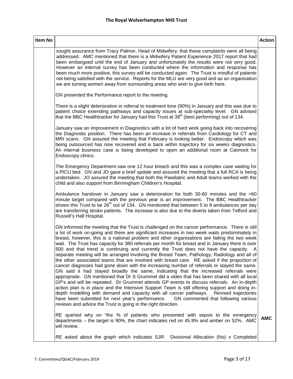| Item No |                                                                                                                                                                                                                                                                                                                                                                                                                                                                                                                                                                                                                                                                                                                                                                                                                                                                                                                                                                                                                                                                                                                                                                                                                                                                                                                                                                                                                                          | <b>Action</b> |
|---------|------------------------------------------------------------------------------------------------------------------------------------------------------------------------------------------------------------------------------------------------------------------------------------------------------------------------------------------------------------------------------------------------------------------------------------------------------------------------------------------------------------------------------------------------------------------------------------------------------------------------------------------------------------------------------------------------------------------------------------------------------------------------------------------------------------------------------------------------------------------------------------------------------------------------------------------------------------------------------------------------------------------------------------------------------------------------------------------------------------------------------------------------------------------------------------------------------------------------------------------------------------------------------------------------------------------------------------------------------------------------------------------------------------------------------------------|---------------|
|         | sought assurance from Tracy Palmer, Head of Midwifery, that these complaints were all being<br>addressed. AMC mentioned that there is a Midwifery Patient Experience 2017 report that had<br>been embargoed until the end of January and unfortunately the results were not very good.<br>However an internal survey has been conducted where the information and response has<br>been much more positive, this survey will be conducted again. The Trust is mindful of patients<br>not being satisfied with the service. Reports for the MLU are very good and as an organisation<br>we are turning women away from surrounding areas who wish to give birth here.                                                                                                                                                                                                                                                                                                                                                                                                                                                                                                                                                                                                                                                                                                                                                                      |               |
|         | GN presented the Performance report to the meeting.                                                                                                                                                                                                                                                                                                                                                                                                                                                                                                                                                                                                                                                                                                                                                                                                                                                                                                                                                                                                                                                                                                                                                                                                                                                                                                                                                                                      |               |
|         | There is a slight deterioration in referral to treatment time (90%) in January and this was due to<br>patient choice extending pathways and capacity issues at sub-speciality level. GN advised<br>that the BBC Healthtracker for January had this Trust at 39 <sup>th</sup> (best performing) out of 134.                                                                                                                                                                                                                                                                                                                                                                                                                                                                                                                                                                                                                                                                                                                                                                                                                                                                                                                                                                                                                                                                                                                               |               |
|         | January saw an improvement in Diagnostics with a lot of hard work going back into recovering<br>the Diagnostic position. There has been an increase in referrals from Cardiology for CT and<br>MRI scans. GN assured the meeting that February is looking better. Endoscopy which was<br>being outsourced has now recovered and is back within trajectory for six weeks diagnostics.<br>An internal business case is being developed to open an additional room at Cannock for<br>Endoscopy clinics.                                                                                                                                                                                                                                                                                                                                                                                                                                                                                                                                                                                                                                                                                                                                                                                                                                                                                                                                     |               |
|         | The Emergency Department saw one 12 hour breach and this was a complex case waiting for<br>a PICU bed. GN and JO gave a brief update and assured the meeting that a full RCA is being<br>undertaken. JO assured the meeting that both the Paediatric and Adult teams worked with the<br>child and also support from Birmingham Children's Hospital.                                                                                                                                                                                                                                                                                                                                                                                                                                                                                                                                                                                                                                                                                                                                                                                                                                                                                                                                                                                                                                                                                      |               |
|         | Ambulance handover in January saw a deterioration for both 30-60 minutes and the >60<br>minute target compared with the previous year is an improvement. The BBC Healthtracker<br>shows this Trust to be 26 <sup>th</sup> out of 134. GN mentioned that between 5 to 8 ambulances per day<br>are transferring stroke patients. The increase is also due to the diverts taken from Telford and<br>Russell's Hall Hospital.                                                                                                                                                                                                                                                                                                                                                                                                                                                                                                                                                                                                                                                                                                                                                                                                                                                                                                                                                                                                                |               |
|         | GN informed the meeting that the Trust is challenged on the cancer performance. There is still<br>a lot of work on-going and there are significant increases in two week waits predominately in<br>breast, however, this is a national problem and other organisations are failing the two week<br>wait. The Trust has capacity for 380 referrals per month for breast and in January there is over<br>500 and that trend is continuing and currently the Trust does not have the capacity. A<br>separate meeting will be arranged involving the Breast Team, Pathology, Radiology and all of<br>the other associated teams that are involved with breast care. RE asked if the proportion of<br>cancer diagnoses had gone down with the increasing number of referrals or stayed the same.<br>GN said it had stayed broadly the same, indicating that the increased referrals were<br>appropriate. GN mentioned that Dr S Grummet did a video that has been shared with all local<br>GP's and will be repeated. Dr Grummet attends GP events to discuss referrals. An in-depth<br>action plan is in place and the Intensive Support Team is still offering support and doing in-<br>depth modelling with demand and capacity with all cancer pathways.<br>Revised trajectories<br>have been submitted for next year's performance. GN commented that following various<br>reviews and advice the Trust is going in the right direction. |               |
|         | RE queried why on "the % of patients who presented with sepsis to the emergency<br>departments – the target is 90%, the chart indicates red on 45.9% and amber on 52%. AMC<br>will review.                                                                                                                                                                                                                                                                                                                                                                                                                                                                                                                                                                                                                                                                                                                                                                                                                                                                                                                                                                                                                                                                                                                                                                                                                                               | <b>AMC</b>    |

RE asked about the graph which indicates SJR: Divisional Allocation (No) v Completed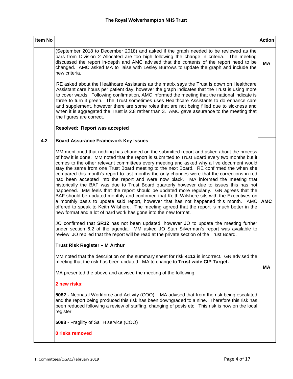| Item No |                                                                                                                                                                                                                                                                                                                                                                                                                                                                                                                                                                                                                                                                                                                                                                                                                                                                                                                                                                                                                                                                                                                                                                                                                                                                                                                                                                                                             | <b>Action</b> |
|---------|-------------------------------------------------------------------------------------------------------------------------------------------------------------------------------------------------------------------------------------------------------------------------------------------------------------------------------------------------------------------------------------------------------------------------------------------------------------------------------------------------------------------------------------------------------------------------------------------------------------------------------------------------------------------------------------------------------------------------------------------------------------------------------------------------------------------------------------------------------------------------------------------------------------------------------------------------------------------------------------------------------------------------------------------------------------------------------------------------------------------------------------------------------------------------------------------------------------------------------------------------------------------------------------------------------------------------------------------------------------------------------------------------------------|---------------|
|         | (September 2018 to December 2018) and asked if the graph needed to be reviewed as the<br>bars from Division 2 Allocated are too high following the change in criteria. The meeting<br>discussed the report in-depth and AMC advised that the contents of the report need to be<br>changed. AMC asked MA to liaise with Lesley Burrows to update the graph and include the<br>new criteria.                                                                                                                                                                                                                                                                                                                                                                                                                                                                                                                                                                                                                                                                                                                                                                                                                                                                                                                                                                                                                  | <b>MA</b>     |
|         | RE asked about the Healthcare Assistants as the matrix says the Trust is down on Healthcare<br>Assistant care hours per patient day; however the graph indicates that the Trust is using more<br>to cover wards. Following confirmation, AMC informed the meeting that the national indicate is<br>three to turn it green. The Trust sometimes uses Healthcare Assistants to do enhance care<br>and supplement, however there are some roles that are not being filled due to sickness and<br>when it is aggregated the Trust is 2.8 rather than 3. AMC gave assurance to the meeting that<br>the figures are correct.<br>Resolved: Report was accepted                                                                                                                                                                                                                                                                                                                                                                                                                                                                                                                                                                                                                                                                                                                                                     |               |
| 4.2     | <b>Board Assurance Framework Key Issues</b>                                                                                                                                                                                                                                                                                                                                                                                                                                                                                                                                                                                                                                                                                                                                                                                                                                                                                                                                                                                                                                                                                                                                                                                                                                                                                                                                                                 |               |
|         | MM mentioned that nothing has changed on the submitted report and asked about the process<br>of how it is done. MM noted that the report is submitted to Trust Board every two months but it<br>comes to the other relevant committees every meeting and asked why a live document would<br>stay the same from one Trust Board meeting to the next Board. RE confirmed the when she<br>compared this month's report to last months the only changes were that the corrections in red<br>had been accepted into the report and were now black. MA informed the meeting that<br>historically the BAF was due to Trust Board quarterly however due to issues this has not<br>happened. MM feels that the report should be updated more regularly. GN agrees that the<br>BAF should be updated monthly and confirmed that Keith Wilshere sits with the Executives on<br>a monthly basis to update said report, however that has not happened this month. AMC<br>offered to speak to Keith Wilshere. The meeting agreed that the report is much better in the<br>new format and a lot of hard work has gone into the new format.<br>JO confirmed that SR12 has not been updated, however JO to update the meeting further<br>under section 6.2 of the agenda. MM asked JO Stan Silverman's report was available to<br>review, JO replied that the report will be read at the private section of the Trust Board. | <b>AMC</b>    |
|         | Trust Risk Register - M Arthur                                                                                                                                                                                                                                                                                                                                                                                                                                                                                                                                                                                                                                                                                                                                                                                                                                                                                                                                                                                                                                                                                                                                                                                                                                                                                                                                                                              |               |
|         | MM noted that the description on the summary sheet for risk 4113 is incorrect. GN advised the<br>meeting that the risk has been updated. MA to change to Trust wide CIP Target.                                                                                                                                                                                                                                                                                                                                                                                                                                                                                                                                                                                                                                                                                                                                                                                                                                                                                                                                                                                                                                                                                                                                                                                                                             | MA            |
|         | MA presented the above and advised the meeting of the following:                                                                                                                                                                                                                                                                                                                                                                                                                                                                                                                                                                                                                                                                                                                                                                                                                                                                                                                                                                                                                                                                                                                                                                                                                                                                                                                                            |               |
|         | 2 new risks:                                                                                                                                                                                                                                                                                                                                                                                                                                                                                                                                                                                                                                                                                                                                                                                                                                                                                                                                                                                                                                                                                                                                                                                                                                                                                                                                                                                                |               |
|         | 5082 - Neonatal Workforce and Activity (COO) – MA advised that from the risk being escalated<br>and the report being produced this risk has been downgraded to a nine. Therefore this risk has<br>been reduced following a review of staffing, changing of posts etc. This risk is now on the local<br>register.                                                                                                                                                                                                                                                                                                                                                                                                                                                                                                                                                                                                                                                                                                                                                                                                                                                                                                                                                                                                                                                                                            |               |
|         | 5088 - Fragility of SaTH service (COO)                                                                                                                                                                                                                                                                                                                                                                                                                                                                                                                                                                                                                                                                                                                                                                                                                                                                                                                                                                                                                                                                                                                                                                                                                                                                                                                                                                      |               |
|         | 0 risks removed                                                                                                                                                                                                                                                                                                                                                                                                                                                                                                                                                                                                                                                                                                                                                                                                                                                                                                                                                                                                                                                                                                                                                                                                                                                                                                                                                                                             |               |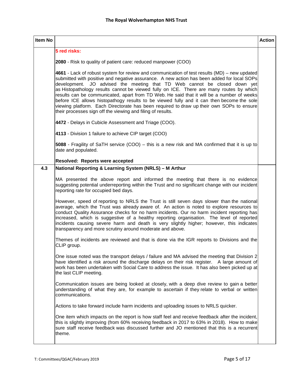| Item No |                                                                                                                                                                                                                                                                                                                                                                                                                                                                                                                                                                                                                                                                                                                         | <b>Action</b> |
|---------|-------------------------------------------------------------------------------------------------------------------------------------------------------------------------------------------------------------------------------------------------------------------------------------------------------------------------------------------------------------------------------------------------------------------------------------------------------------------------------------------------------------------------------------------------------------------------------------------------------------------------------------------------------------------------------------------------------------------------|---------------|
|         | 5 red risks:                                                                                                                                                                                                                                                                                                                                                                                                                                                                                                                                                                                                                                                                                                            |               |
|         | 2080 - Risk to quality of patient care: reduced manpower (COO)                                                                                                                                                                                                                                                                                                                                                                                                                                                                                                                                                                                                                                                          |               |
|         | 4661 - Lack of robust system for review and communication of test results (MD) – new updated<br>submitted with positive and negative assurance. A new action has been added for local SOPs<br>development. JO advised the meeting that TD Web cannot be closed down yet<br>as Histopathology results cannot be viewed fully on ICE. There are many routes by which<br>results can be communicated, apart from TD Web. He said that it will be a number of weeks<br>before ICE allows histopathogy results to be viewed fully and it can then become the sole<br>viewing platform. Each Directorate has been required to draw up their own SOPs to ensure<br>their processes sign off the viewing and filing of results. |               |
|         | 4472 - Delays in Cubicle Assessment and Triage (COO).                                                                                                                                                                                                                                                                                                                                                                                                                                                                                                                                                                                                                                                                   |               |
|         | 4113 - Division 1 failure to achieve CIP target (COO)                                                                                                                                                                                                                                                                                                                                                                                                                                                                                                                                                                                                                                                                   |               |
|         | 5088 - Fragility of SaTH service (COO) – this is a new risk and MA confirmed that it is up to<br>date and populated.                                                                                                                                                                                                                                                                                                                                                                                                                                                                                                                                                                                                    |               |
|         | Resolved: Reports were accepted                                                                                                                                                                                                                                                                                                                                                                                                                                                                                                                                                                                                                                                                                         |               |
| 4.3     | National Reporting & Learning System (NRLS) - M Arthur                                                                                                                                                                                                                                                                                                                                                                                                                                                                                                                                                                                                                                                                  |               |
|         | MA presented the above report and informed the meeting that there is no evidence<br>suggesting potential underreporting within the Trust and no significant change with our incident<br>reporting rate for occupied bed days.                                                                                                                                                                                                                                                                                                                                                                                                                                                                                           |               |
|         | However, speed of reporting to NRLS the Trust is still seven days slower than the national<br>average, which the Trust was already aware of. An action is noted to explore resources to<br>conduct Quality Assurance checks for no harm incidents. Our no harm incident reporting has<br>increased, which is suggestive of a healthy reporting organisation. The level of reported<br>incidents causing severe harm and death is very slightly higher; however, this indicates<br>transparency and more scrutiny around moderate and above.                                                                                                                                                                             |               |
|         | Themes of incidents are reviewed and that is done via the IGR reports to Divisions and the<br>CLIP group.                                                                                                                                                                                                                                                                                                                                                                                                                                                                                                                                                                                                               |               |
|         | One issue noted was the transport delays / failure and MA advised the meeting that Division 2<br>have identified a risk around the discharge delays on their risk register. A large amount of<br>work has been undertaken with Social Care to address the issue. It has also been picked up at<br>the last CLIP meeting.                                                                                                                                                                                                                                                                                                                                                                                                |               |
|         | Communication issues are being looked at closely, with a deep dive review to gain a better<br>understanding of what they are, for example to ascertain if they relate to verbal or written<br>communications.                                                                                                                                                                                                                                                                                                                                                                                                                                                                                                           |               |
|         | Actions to take forward include harm incidents and uploading issues to NRLS quicker.                                                                                                                                                                                                                                                                                                                                                                                                                                                                                                                                                                                                                                    |               |
|         | One item which impacts on the report is how staff feel and receive feedback after the incident,<br>this is slightly improving (from 60% receiving feedback in 2017 to 63% in 2018). How to make<br>sure staff receive feedback was discussed further and JO mentioned that this is a recurrent<br>theme.                                                                                                                                                                                                                                                                                                                                                                                                                |               |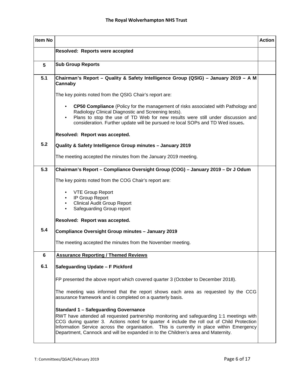| <b>Item No</b> | <b>Action</b>                                                                                                                                                                                                                                                                                                                                                                                                           |  |  |  |
|----------------|-------------------------------------------------------------------------------------------------------------------------------------------------------------------------------------------------------------------------------------------------------------------------------------------------------------------------------------------------------------------------------------------------------------------------|--|--|--|
|                | Resolved: Reports were accepted                                                                                                                                                                                                                                                                                                                                                                                         |  |  |  |
| 5              | <b>Sub Group Reports</b>                                                                                                                                                                                                                                                                                                                                                                                                |  |  |  |
| 5.1            | Chairman's Report - Quality & Safety Intelligence Group (QSIG) - January 2019 - A M<br>Cannaby                                                                                                                                                                                                                                                                                                                          |  |  |  |
|                | The key points noted from the QSIG Chair's report are:                                                                                                                                                                                                                                                                                                                                                                  |  |  |  |
|                | CP50 Compliance (Policy for the management of risks associated with Pathology and<br>Radiology Clinical Diagnostic and Screening tests).<br>Plans to stop the use of TD Web for new results were still under discussion and<br>consideration. Further update will be pursued re local SOPs and TD Wed issues.                                                                                                           |  |  |  |
|                | Resolved: Report was accepted.                                                                                                                                                                                                                                                                                                                                                                                          |  |  |  |
| 5.2            | Quality & Safety Intelligence Group minutes - January 2019                                                                                                                                                                                                                                                                                                                                                              |  |  |  |
|                | The meeting accepted the minutes from the January 2019 meeting.                                                                                                                                                                                                                                                                                                                                                         |  |  |  |
| 5.3            | Chairman's Report - Compliance Oversight Group (COG) - January 2019 - Dr J Odum                                                                                                                                                                                                                                                                                                                                         |  |  |  |
|                | The key points noted from the COG Chair's report are:                                                                                                                                                                                                                                                                                                                                                                   |  |  |  |
|                | <b>VTE Group Report</b><br>IP Group Report<br><b>Clinical Audit Group Report</b><br>Safeguarding Group report<br>$\bullet$                                                                                                                                                                                                                                                                                              |  |  |  |
|                | Resolved: Report was accepted.                                                                                                                                                                                                                                                                                                                                                                                          |  |  |  |
| 5.4            | Compliance Oversight Group minutes - January 2019                                                                                                                                                                                                                                                                                                                                                                       |  |  |  |
|                | The meeting accepted the minutes from the November meeting.                                                                                                                                                                                                                                                                                                                                                             |  |  |  |
| 6              | <b>Assurance Reporting / Themed Reviews</b>                                                                                                                                                                                                                                                                                                                                                                             |  |  |  |
| 6.1            | Safeguarding Update - F Pickford                                                                                                                                                                                                                                                                                                                                                                                        |  |  |  |
|                | FP presented the above report which covered quarter 3 (October to December 2018).                                                                                                                                                                                                                                                                                                                                       |  |  |  |
|                | The meeting was informed that the report shows each area as requested by the CCG<br>assurance framework and is completed on a quarterly basis.                                                                                                                                                                                                                                                                          |  |  |  |
|                | <b>Standard 1 - Safeguarding Governance</b><br>RWT have attended all requested partnership monitoring and safeguarding 1:1 meetings with<br>CCG during quarter 3. Actions noted for quarter 4 include the roll out of Child Protection<br>Information Service across the organisation. This is currently in place within Emergency<br>Department, Cannock and will be expanded in to the Children's area and Maternity. |  |  |  |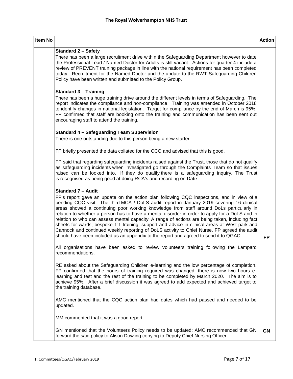| Item No |                                                                                                                                                                                                                                                                                                                                                                                                                                                                                                                                                                                                                                                                                                                                                                                                             | <b>Action</b> |
|---------|-------------------------------------------------------------------------------------------------------------------------------------------------------------------------------------------------------------------------------------------------------------------------------------------------------------------------------------------------------------------------------------------------------------------------------------------------------------------------------------------------------------------------------------------------------------------------------------------------------------------------------------------------------------------------------------------------------------------------------------------------------------------------------------------------------------|---------------|
|         | <b>Standard 2 - Safety</b><br>There has been a large recruitment drive within the Safeguarding Department however to date<br>the Professional Lead / Named Doctor for Adults is still vacant. Actions for quarter 4 include a<br>review of PREVENT training package in line with the national requirement has been completed<br>today. Recruitment for the Named Doctor and the update to the RWT Safeguarding Children<br>Policy have been written and submitted to the Policy Group.                                                                                                                                                                                                                                                                                                                      |               |
|         | <b>Standard 3 - Training</b><br>There has been a huge training drive around the different levels in terms of Safeguarding. The<br>report indicates the compliance and non-compliance. Training was amended in October 2018<br>to identify changes in national legislation. Target for compliance by the end of March is 95%.<br>FP confirmed that staff are booking onto the training and communication has been sent out<br>encouraging staff to attend the training.                                                                                                                                                                                                                                                                                                                                      |               |
|         | <b>Standard 4 - Safeguarding Team Supervision</b><br>There is one outstanding due to this person being a new starter.                                                                                                                                                                                                                                                                                                                                                                                                                                                                                                                                                                                                                                                                                       |               |
|         | FP briefly presented the data collated for the CCG and advised that this is good.                                                                                                                                                                                                                                                                                                                                                                                                                                                                                                                                                                                                                                                                                                                           |               |
|         | FP said that regarding safeguarding incidents raised against the Trust, those that do not qualify<br>as safeguarding incidents when investigated go through the Complaints Team so that issues<br>raised can be looked into. If they do qualify there is a safeguarding inquiry. The Trust<br>is recognised as being good at doing RCA's and recording on Datix.                                                                                                                                                                                                                                                                                                                                                                                                                                            |               |
|         | <b>Standard 7 - Audit</b><br>FP's report gave an update on the action plan following CQC inspections, and in view of a<br>pending CQC visit. The third MCA / DoLS audit report in January 2019 covering 16 clinical<br>areas showed a continuing poor working knowledge from staff around DoLs particularly in<br>relation to whether a person has to have a mental disorder in order to apply for a DoLS and in<br>relation to who can assess mental capacity. A range of actions are being taken, including fact<br>sheets for wards; bespoke 1:1 training; support and advice in clinical areas at West park and<br>Cannock and continued weekly reporting of DoLS activity to Chief Nurse. FP agreed the audit<br>should have been included as an appendix to the report and agreed to send it to QGAC. | <b>FP</b>     |
|         | All organisations have been asked to review volunteers training following the Lampard<br>recommendations.                                                                                                                                                                                                                                                                                                                                                                                                                                                                                                                                                                                                                                                                                                   |               |
|         | RE asked about the Safeguarding Children e-learning and the low percentage of completion.<br>FP confirmed that the hours of training required was changed, there is now two hours e-<br>learning and test and the rest of the training to be completed by March 2020. The aim is to<br>achieve 95%. After a brief discussion it was agreed to add expected and achieved target to<br>the training database.                                                                                                                                                                                                                                                                                                                                                                                                 |               |
|         | AMC mentioned that the CQC action plan had dates which had passed and needed to be<br>updated.                                                                                                                                                                                                                                                                                                                                                                                                                                                                                                                                                                                                                                                                                                              |               |
|         | MM commented that it was a good report.                                                                                                                                                                                                                                                                                                                                                                                                                                                                                                                                                                                                                                                                                                                                                                     |               |
|         | GN mentioned that the Volunteers Policy needs to be updated; AMC recommended that GN<br>forward the said policy to Alison Dowling copying to Deputy Chief Nursing Officer.                                                                                                                                                                                                                                                                                                                                                                                                                                                                                                                                                                                                                                  | <b>GN</b>     |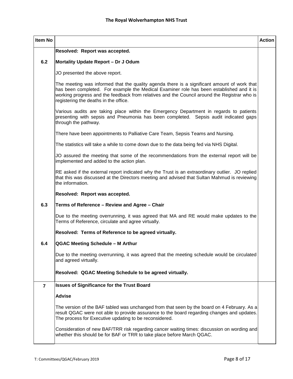| <b>Item No</b> |                                                                                                                                                                                                                                                                                                                                  | <b>Action</b> |
|----------------|----------------------------------------------------------------------------------------------------------------------------------------------------------------------------------------------------------------------------------------------------------------------------------------------------------------------------------|---------------|
|                | Resolved: Report was accepted.                                                                                                                                                                                                                                                                                                   |               |
| 6.2            | Mortality Update Report - Dr J Odum                                                                                                                                                                                                                                                                                              |               |
|                | JO presented the above report.                                                                                                                                                                                                                                                                                                   |               |
|                | The meeting was informed that the quality agenda there is a significant amount of work that<br>has been completed. For example the Medical Examiner role has been established and it is<br>working progress and the feedback from relatives and the Council around the Registrar who is<br>registering the deaths in the office. |               |
|                | Various audits are taking place within the Emergency Department in regards to patients<br>presenting with sepsis and Pneumonia has been completed. Sepsis audit indicated gaps<br>through the pathway.                                                                                                                           |               |
|                | There have been appointments to Palliative Care Team, Sepsis Teams and Nursing.                                                                                                                                                                                                                                                  |               |
|                | The statistics will take a while to come down due to the data being fed via NHS Digital.                                                                                                                                                                                                                                         |               |
|                | JO assured the meeting that some of the recommendations from the external report will be<br>implemented and added to the action plan.                                                                                                                                                                                            |               |
|                | RE asked if the external report indicated why the Trust is an extraordinary outlier. JO replied<br>that this was discussed at the Directors meeting and advised that Sultan Mahmud is reviewing<br>the information.                                                                                                              |               |
|                | Resolved: Report was accepted.                                                                                                                                                                                                                                                                                                   |               |
| 6.3            | Terms of Reference - Review and Agree - Chair                                                                                                                                                                                                                                                                                    |               |
|                | Due to the meeting overrunning, it was agreed that MA and RE would make updates to the<br>Terms of Reference, circulate and agree virtually.                                                                                                                                                                                     |               |
|                | Resolved: Terms of Reference to be agreed virtually.                                                                                                                                                                                                                                                                             |               |
| 6.4            | QGAC Meeting Schedule - M Arthur                                                                                                                                                                                                                                                                                                 |               |
|                | Due to the meeting overrunning, it was agreed that the meeting schedule would be circulated<br>and agreed virtually.                                                                                                                                                                                                             |               |
|                | Resolved: QGAC Meeting Schedule to be agreed virtually.                                                                                                                                                                                                                                                                          |               |
| $\overline{7}$ | <b>Issues of Significance for the Trust Board</b>                                                                                                                                                                                                                                                                                |               |
|                | <b>Advise</b>                                                                                                                                                                                                                                                                                                                    |               |
|                | The version of the BAF tabled was unchanged from that seen by the board on 4 February. As a<br>result QGAC were not able to provide assurance to the board regarding changes and updates.<br>The process for Executive updating to be reconsidered.                                                                              |               |
|                | Consideration of new BAF/TRR risk regarding cancer waiting times: discussion on wording and<br>whether this should be for BAF or TRR to take place before March QGAC.                                                                                                                                                            |               |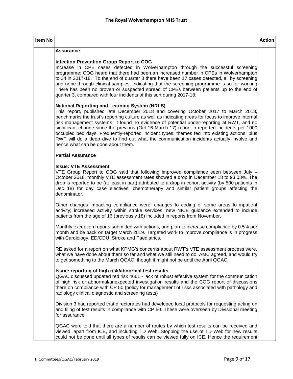| Item No |                                                                                                                                                                                                                                                                                                                                                                                                                                                                                                                                                                                                                                                                                    | <b>Action</b> |
|---------|------------------------------------------------------------------------------------------------------------------------------------------------------------------------------------------------------------------------------------------------------------------------------------------------------------------------------------------------------------------------------------------------------------------------------------------------------------------------------------------------------------------------------------------------------------------------------------------------------------------------------------------------------------------------------------|---------------|
|         | <b>Assurance</b>                                                                                                                                                                                                                                                                                                                                                                                                                                                                                                                                                                                                                                                                   |               |
|         | <b>Infection Prevention Group Report to COG</b><br>Increase in CPE cases detected in Wolverhampton through the successful screening<br>programme: COG heard that there had been an increased number in CPEs in Wolverhampton<br>to 34 in 2017-18. To the end of quarter 3 there have been 17 cases detected, all by screening<br>and none through clinical samples, indicating that the screening programme is so far working<br>There has been no proven or suspected spread of CPEs between patients up to the end of<br>quarter 3, compared with four incidents of this sort during 2017-18.                                                                                    |               |
|         | <b>National Reporting and Learning System (NRLS)</b><br>This report, published late December 2018 and covering October 2017 to March 2018,<br>benchmarks the trust's reporting culture as well as indicating areas for focus to improve internal<br>risk management systems. It found no evidence of potential under-reporting at RWT, and no<br>significant change since the previous (Oct 16-March 17) report in reported incidents per 1000<br>occupied bed days. Frequently-reported incident types: themes fed into existing actions, plus<br>RWT will do a deep dive to find out what the communication incidents actually involve and<br>hence what can be done about them. |               |
|         | <b>Partial Assurance</b>                                                                                                                                                                                                                                                                                                                                                                                                                                                                                                                                                                                                                                                           |               |
|         | <b>Issue: VTE Assessment</b><br>VTE Group Report to COG said that following improved compliance seen between July -<br>October 2018, monthly VTE assessment rates showed a drop in December 18 to 93.03%. The<br>drop is reported to be (at least in part) attributed to a drop in cohort activity (by 500 patients in<br>Dec 18) for day case electives, chemotherapy and similar patient groups affecting the<br>denominator.                                                                                                                                                                                                                                                    |               |
|         | Other changes impacting compliance were: changes to coding of some areas to inpatient<br>activity; increased activity within stroke services; new NICE guidance extended to include<br>patients from the age of 16 (previously 18) included in reports from November.                                                                                                                                                                                                                                                                                                                                                                                                              |               |
|         | Monthly exception reports submitted with actions, and plan to increase compliance by 0.5% per<br>month and be back on target March 2019. Targeted work to improve compliance is in progress<br>with Cardiology, ED/CDU, Stroke and Paediatrics.                                                                                                                                                                                                                                                                                                                                                                                                                                    |               |
|         | RE asked for a report on what KPMG's concerns about RWT's VTE assessment process were,<br>what we have done about them so far and what we still need to do. AMC agreed, and would try<br>to get something to the March QGAC, though it might not be until the April QGAC.                                                                                                                                                                                                                                                                                                                                                                                                          |               |
|         | Issue: reporting of high risk/abnormal test results<br>QGAC discussed updated red risk 4661 - lack of robust effective system for the communication<br>of high risk or abnormal/unexpected investigation results and the COG report of discussions<br>there on compliance with CP 50 (policy for management of risks associated with pathology and<br>radiology clinical diagnostic and screening tests)                                                                                                                                                                                                                                                                           |               |
|         | Division 3 had reported that directorates had developed local protocols for requesting acting on<br>and filing of test results in compliance with CP 50. These were overseen by Divisional meeting<br>for assurance.                                                                                                                                                                                                                                                                                                                                                                                                                                                               |               |
|         | QGAC were told that there are a number of routes by which test results can be received and<br>viewed, apart from ICE, and including TD Web. Stopping the use of TD Web for new results<br>could not be done until all types of results can be viewed fully on ICE. Hence the requirement                                                                                                                                                                                                                                                                                                                                                                                           |               |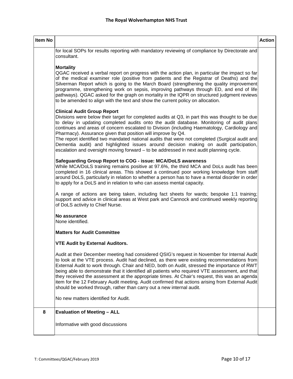| Item No |                                                                                                                                                                                                                                                                                                                                                                                                                                                                                                                                                                                                                                                                                         | <b>Action</b> |
|---------|-----------------------------------------------------------------------------------------------------------------------------------------------------------------------------------------------------------------------------------------------------------------------------------------------------------------------------------------------------------------------------------------------------------------------------------------------------------------------------------------------------------------------------------------------------------------------------------------------------------------------------------------------------------------------------------------|---------------|
|         | for local SOPs for results reporting with mandatory reviewing of compliance by Directorate and<br>consultant.                                                                                                                                                                                                                                                                                                                                                                                                                                                                                                                                                                           |               |
|         | <b>Mortality</b><br>QGAC received a verbal report on progress with the action plan, in particular the impact so far<br>of the medical examiner role (positive from patients and the Registrar of Deaths) and the<br>Silverman Report which is going to the March Board (strengthening the quality improvement<br>programme, strengthening work on sepsis, improving pathways through ED, and end of life<br>pathways). QGAC asked for the graph on mortality in the IQPR on structured judgment reviews<br>to be amended to align with the text and show the current policy on allocation.                                                                                              |               |
|         | <b>Clinical Audit Group Report</b><br>Divisions were below their target for completed audits at Q3, in part this was thought to be due<br>to delay in updating completed audits onto the audit database. Monitoring of audit plans<br>continues and areas of concern escalated to Division (including Haematology, Cardiology and<br>Pharmacy). Assurance given that position will improve by Q4.<br>The report identified two mandated national audits that were not completed (Surgical audit and<br>Dementia audit) and highlighted issues around decision making on audit participation,<br>escalation and oversight moving forward - to be addressed in next audit planning cycle. |               |
|         | Safeguarding Group Report to COG - issue: MCA/DoLS awareness<br>While MCA/DoLS training remains positive at 97.6%, the third MCA and DoLs audit has been<br>completed in 16 clinical areas. This showed a continued poor working knowledge from staff<br>around DoLS, particularly in relation to whether a person has to have a mental disorder in order<br>to apply for a DoLS and in relation to who can assess mental capacity.                                                                                                                                                                                                                                                     |               |
|         | A range of actions are being taken, including fact sheets for wards; bespoke 1:1 training;<br>support and advice in clinical areas at West park and Cannock and continued weekly reporting<br>of DoLS activity to Chief Nurse.                                                                                                                                                                                                                                                                                                                                                                                                                                                          |               |
|         | No assurance<br>None identified.                                                                                                                                                                                                                                                                                                                                                                                                                                                                                                                                                                                                                                                        |               |
|         | <b>Matters for Audit Committee</b>                                                                                                                                                                                                                                                                                                                                                                                                                                                                                                                                                                                                                                                      |               |
|         | <b>VTE Audit by External Auditors.</b>                                                                                                                                                                                                                                                                                                                                                                                                                                                                                                                                                                                                                                                  |               |
|         | Audit at their December meeting had considered QSIG's request in November for Internal Audit<br>to look at the VTE process. Audit had declined, as there were existing recommendations from<br>External Audit to work through. Chair and NED, both on Audit, stressed the importance of RWT<br>being able to demonstrate that it identified all patients who required VTE assessment, and that<br>they received the assessment at the appropriate times. At Chair's request, this was an agenda<br>item for the 12 February Audit meeting. Audit confirmed that actions arising from External Audit<br>should be worked through, rather than carry out a new internal audit.            |               |
|         | No new matters identified for Audit.                                                                                                                                                                                                                                                                                                                                                                                                                                                                                                                                                                                                                                                    |               |
| 8       | <b>Evaluation of Meeting - ALL</b>                                                                                                                                                                                                                                                                                                                                                                                                                                                                                                                                                                                                                                                      |               |
|         | Informative with good discussions                                                                                                                                                                                                                                                                                                                                                                                                                                                                                                                                                                                                                                                       |               |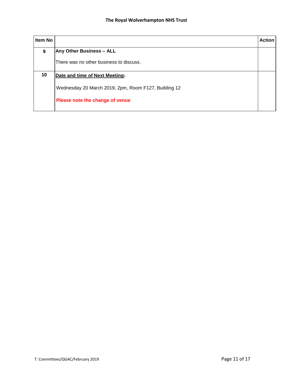| <b>Item No</b> |                                                      | <b>Action</b> |
|----------------|------------------------------------------------------|---------------|
| 9              | <b>Any Other Business - ALL</b>                      |               |
|                | There was no other business to discuss.              |               |
| 10             | Date and time of Next Meeting:                       |               |
|                | Wednesday 20 March 2019, 2pm, Room F127, Building 12 |               |
|                | Please note the change of venue                      |               |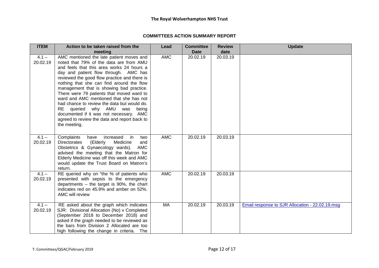## **COMMITTEES ACTION SUMMARY REPORT**

| <b>ITEM</b>         | Action to be taken raised from the                                                                                                                                                                                                                                                                                                                                                                                                                                                                                                                                                                   | Lead       | <b>Committee</b> | <b>Review</b> | <b>Update</b>                                   |
|---------------------|------------------------------------------------------------------------------------------------------------------------------------------------------------------------------------------------------------------------------------------------------------------------------------------------------------------------------------------------------------------------------------------------------------------------------------------------------------------------------------------------------------------------------------------------------------------------------------------------------|------------|------------------|---------------|-------------------------------------------------|
|                     | meeting                                                                                                                                                                                                                                                                                                                                                                                                                                                                                                                                                                                              |            | <b>Date</b>      | date          |                                                 |
| $4.1 -$<br>20.02.19 | AMC mentioned the late patient moves and<br>noted that 79% of the data are from AMU<br>and feels that this area works 24 hours a<br>day and patient flow through. AMC has<br>reviewed the good flow practice and there is<br>nothing that she can find around the flow<br>management that is showing bad practice.<br>There were 79 patients that moved ward to<br>ward and AMC mentioned that she has not<br>had chance to review the data but would do.<br>RE queried why AMU was being<br>documented if it was not necessary. AMC<br>agreed to review the data and report back to<br>the meeting. | <b>AMC</b> | 20.02.19         | 20.03.19      |                                                 |
| $4.1 -$<br>20.02.19 | Complaints<br>increased<br>in<br>two<br>have<br>(Elderly<br>Medicine<br>Directorates<br>and<br>Obstetrics & Gynaecology wards).<br>AMC<br>advised the meeting that the Matron for<br>Elderly Medicine was off this week and AMC<br>would update the Trust Board on Matron's<br>return.                                                                                                                                                                                                                                                                                                               | <b>AMC</b> | 20.02.19         | 20.03.19      |                                                 |
| $4.1 -$<br>20.02.19 | RE queried why on "the % of patients who<br>presented with sepsis to the emergency<br>departments $-$ the target is 90%, the chart<br>indicates red on 45.9% and amber on 52%.<br>AMC will review                                                                                                                                                                                                                                                                                                                                                                                                    | <b>AMC</b> | 20.02.19         | 20.03.19      |                                                 |
| $4.1 -$<br>20.02.19 | RE asked about the graph which indicates<br>SJR: Divisional Allocation (No) v Completed<br>(September 2018 to December 2018) and<br>asked if the graph needed to be reviewed as<br>the bars from Division 2 Allocated are too<br>high following the change in criteria. The                                                                                                                                                                                                                                                                                                                          | MA         | 20.02.19         | 20.03.19      | Email response to SJR Allocation - 22.02.19.msg |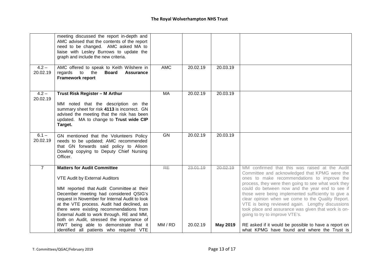|                     | meeting discussed the report in-depth and<br>AMC advised that the contents of the report<br>need to be changed. AMC asked MA to<br>liaise with Lesley Burrows to update the<br>graph and include the new criteria.                                                                                                                                                                                        |            |          |          |                                                                                                                                                                                                                                                                                                                                                                                                                                                                                                                   |
|---------------------|-----------------------------------------------------------------------------------------------------------------------------------------------------------------------------------------------------------------------------------------------------------------------------------------------------------------------------------------------------------------------------------------------------------|------------|----------|----------|-------------------------------------------------------------------------------------------------------------------------------------------------------------------------------------------------------------------------------------------------------------------------------------------------------------------------------------------------------------------------------------------------------------------------------------------------------------------------------------------------------------------|
| $4.2 -$<br>20.02.19 | AMC offered to speak to Keith Wilshere in<br>regards<br>$\overline{\phantom{a}}$ to<br>the<br><b>Board</b><br><b>Assurance</b><br><b>Framework report</b>                                                                                                                                                                                                                                                 | <b>AMC</b> | 20.02.19 | 20.03.19 |                                                                                                                                                                                                                                                                                                                                                                                                                                                                                                                   |
| $4.2 -$<br>20.02.19 | Trust Risk Register - M Arthur<br>MM noted that the description on the<br>summary sheet for risk 4113 is incorrect. GN<br>advised the meeting that the risk has been<br>updated. MA to change to Trust wide CIP<br>Target.                                                                                                                                                                                | MA         | 20.02.19 | 20.03.19 |                                                                                                                                                                                                                                                                                                                                                                                                                                                                                                                   |
| $6.1 -$<br>20.02.19 | GN mentioned that the Volunteers Policy<br>needs to be updated; AMC recommended<br>that GN forwards said policy to Alison<br>Dowling copying to Deputy Chief Nursing<br>Officer.                                                                                                                                                                                                                          | <b>GN</b>  | 20.02.19 | 20.03.19 |                                                                                                                                                                                                                                                                                                                                                                                                                                                                                                                   |
| $\overline{7}$      | <b>Matters for Audit Committee</b><br><b>VTE Audit by External Auditors</b><br>MM reported that Audit Committee at their<br>December meeting had considered QSIG's<br>request in November for Internal Audit to look<br>at the VTE process. Audit had declined, as<br>there were existing recommendations from<br>External Audit to work through. RE and MM,<br>both on Audit, stressed the importance of | <b>RE</b>  | 23,01.19 | 20.02.19 | MM confirmed that this was raised at the Audit<br>Committee and acknowledged that KPMG were the<br>ones to make recommendations to improve the<br>process, they were then going to see what work they<br>could do between now and the year end to see if<br>those were being implemented sufficiently to give a<br>clear opinion when we come to the Quality Report.<br>VTE is being reviewed again. Lengthy discussions<br>took place and assurance was given that work is on-<br>going to try to improve VTE's. |
|                     | RWT being able to demonstrate that it<br>identified all patients who required VTE                                                                                                                                                                                                                                                                                                                         | MM / RD    | 20.02.19 | May 2019 | RE asked if it would be possible to have a report on<br>what KPMG have found and where the Trust is                                                                                                                                                                                                                                                                                                                                                                                                               |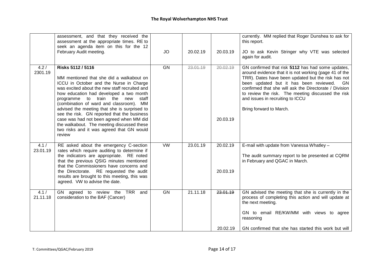|                  | assessment, and that they received the<br>assessment at the appropriate times. RE to<br>seek an agenda item on this for the 12<br>February Audit meeting.                                                                                                                                                                                                                                                                                                                                                                              | JO        | 20.02.19 | 20.03.19             | currently. MM replied that Roger Dunshea to ask for<br>this report.<br>JO to ask Kevin Stringer why VTE was selected<br>again for audit.                                                                                                                                                                                                                                                         |
|------------------|----------------------------------------------------------------------------------------------------------------------------------------------------------------------------------------------------------------------------------------------------------------------------------------------------------------------------------------------------------------------------------------------------------------------------------------------------------------------------------------------------------------------------------------|-----------|----------|----------------------|--------------------------------------------------------------------------------------------------------------------------------------------------------------------------------------------------------------------------------------------------------------------------------------------------------------------------------------------------------------------------------------------------|
| 4.2/<br>2301.19  | Risks 5112 / 5116<br>MM mentioned that she did a walkabout on<br>ICCU in October and the Nurse in Charge<br>was excited about the new staff recruited and<br>how education had developed a two month<br>programme to train the new<br>staff<br>(combination of ward and classroom). MM<br>advised the meeting that she is surprised to<br>see the risk. GN reported that the business<br>case was had not been agreed when MM did<br>the walkabout. The meeting discussed these<br>two risks and it was agreed that GN would<br>review | <b>GN</b> | 23.01.19 | 20.02.19<br>20.03.19 | GN confirmed that risk 5112 has had some updates,<br>around evidence that it is not working (page 41 of the<br>TRR). Dates have been updated but the risk has not<br>been updated but it has been reviewed.<br>GN<br>confirmed that she will ask the Directorate / Division<br>to review the risk. The meeting discussed the risk<br>and issues in recruiting to ICCU<br>Bring forward to March. |
| 4.1/<br>23.01.19 | RE asked about the emergency C-section<br>rates which require auditing to determine if<br>the indicators are appropriate. RE noted<br>that the previous QSIG minutes mentioned<br>that the Commissioners have concerns and<br>the Directorate. RE requested the audit<br>results are brought to this meeting, this was<br>agreed. VW to advise the date.                                                                                                                                                                               | <b>VW</b> | 23.01.19 | 20.02.19<br>20.03.19 | E-mail with update from Vanessa Whatley -<br>The audit summary report to be presented at CQRM<br>in February and QGAC in March.                                                                                                                                                                                                                                                                  |
| 4.1/<br>21.11.18 | GN agreed to review the TRR<br>and<br>consideration to the BAF (Cancer)                                                                                                                                                                                                                                                                                                                                                                                                                                                                | GN        | 21.11.18 | 23.01.19<br>20.02.19 | GN advised the meeting that she is currently in the<br>process of completing this action and will update at<br>the next meeting.<br>GN to email RE/KW/MM with views to agree<br>reasoning<br>GN confirmed that she has started this work but will                                                                                                                                                |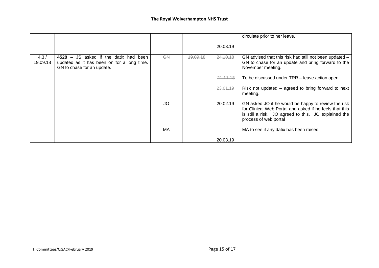|                  |                                                                                                                        |           |          |          | circulate prior to her leave.                                                                                                                                                                   |
|------------------|------------------------------------------------------------------------------------------------------------------------|-----------|----------|----------|-------------------------------------------------------------------------------------------------------------------------------------------------------------------------------------------------|
|                  |                                                                                                                        |           |          | 20.03.19 |                                                                                                                                                                                                 |
| 4.3/<br>19.09.18 | JS asked if the datix had been<br>$4528 -$<br>updated as it has been on for a long time.<br>GN to chase for an update. | <b>GN</b> | 19.09.18 | 24.10.18 | GN advised that this risk had still not been updated -<br>GN to chase for an update and bring forward to the<br>November meeting.                                                               |
|                  |                                                                                                                        |           |          | 21.11.18 | To be discussed under TRR – leave action open                                                                                                                                                   |
|                  |                                                                                                                        |           |          | 23.01.19 | Risk not updated $-$ agreed to bring forward to next<br>meeting.                                                                                                                                |
|                  |                                                                                                                        | JO        |          | 20.02.19 | GN asked JO if he would be happy to review the risk<br>for Clinical Web Portal and asked if he feels that this<br>is still a risk. JO agreed to this. JO explained the<br>process of web portal |
|                  |                                                                                                                        | MA        |          |          | MA to see if any datix has been raised.                                                                                                                                                         |
|                  |                                                                                                                        |           |          | 20.03.19 |                                                                                                                                                                                                 |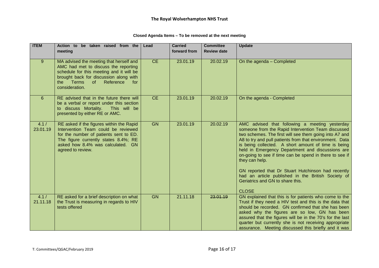| <b>ITEM</b>       | Action to be taken raised from the<br>meeting                                                                                                                                                                                            | Lead      | <b>Carried</b><br>forward from | <b>Committee</b><br><b>Review date</b> | <b>Update</b>                                                                                                                                                                                                                                                                                                                                                                                                                                                                                                                                                                     |
|-------------------|------------------------------------------------------------------------------------------------------------------------------------------------------------------------------------------------------------------------------------------|-----------|--------------------------------|----------------------------------------|-----------------------------------------------------------------------------------------------------------------------------------------------------------------------------------------------------------------------------------------------------------------------------------------------------------------------------------------------------------------------------------------------------------------------------------------------------------------------------------------------------------------------------------------------------------------------------------|
| 9                 | MA advised the meeting that herself and<br>AMC had met to discuss the reporting<br>schedule for this meeting and it will be<br>brought back for discussion along with<br><b>Terms</b><br>of<br>Reference<br>the<br>for<br>consideration. | <b>CE</b> | 23.01.19                       | 20.02.19                               | On the agenda - Completed                                                                                                                                                                                                                                                                                                                                                                                                                                                                                                                                                         |
| 6                 | RE advised that in the future there will<br>be a verbal or report under this section<br>to discuss Mortality.<br>This will be<br>presented by either RE or AMC.                                                                          | <b>CE</b> | 23.01.19                       | 20.02.19                               | On the agenda - Completed                                                                                                                                                                                                                                                                                                                                                                                                                                                                                                                                                         |
| 4.1/<br>23.01.19  | RE asked if the figures within the Rapid<br>Intervention Team could be reviewed<br>for the number of patients sent to ED.<br>The figure currently states 8.4%; RE<br>asked how 8.4% was calculated. GN<br>agreed to review.              | <b>GN</b> | 23.01.19                       | 20.02.19                               | AMC advised that following a meeting yesterday<br>someone from the Rapid Intervention Team discussed<br>two schemes. The first will see them going into A7 and<br>A8 to try and pull patients from that environment. Data<br>is being collected. A short amount of time is being<br>held in Emergency Department and discussions are<br>on-going to see if time can be spend in there to see if<br>they can help.<br>GN reported that Dr Stuart Hutchinson had recently<br>had an article published in the British Society of<br>Geriatrics and GN to share this.<br><b>CLOSE</b> |
| 4.1 /<br>21.11.18 | RE asked for a brief description on what<br>the Trust is measuring in regards to HIV<br>tests offered                                                                                                                                    | <b>GN</b> | 21.11.18                       | 23.01.19                               | GN explained that this is for patients who come to the<br>Trust if they need a HIV test and this is the data that<br>should be recorded. GN confirmed that she has been<br>asked why the figures are so low, GN has been<br>assured that the figures will be in the 70's for the last<br>quarter but currently she is not receiving appropriate<br>assurance. Meeting discussed this briefly and it was                                                                                                                                                                           |